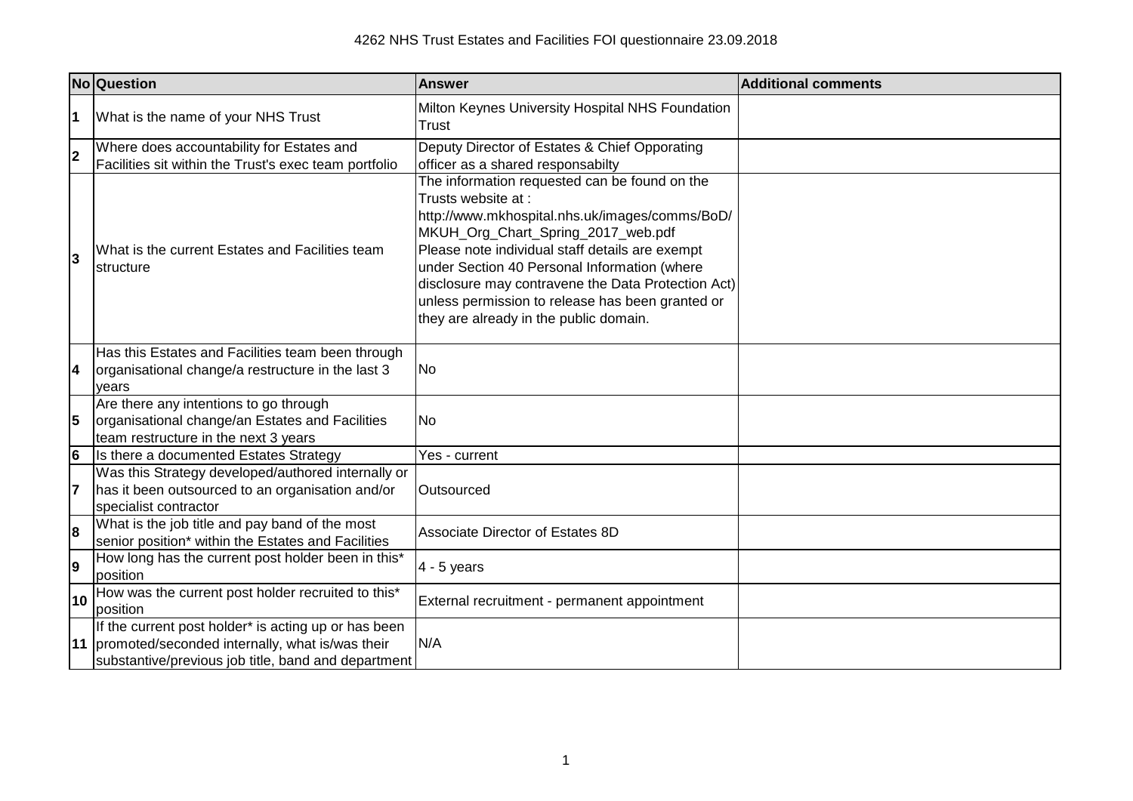|    | No Question                                                                                                                                                       | <b>Answer</b>                                                                                                                                                                                                                                                                                                                                                                                                      | <b>Additional comments</b> |
|----|-------------------------------------------------------------------------------------------------------------------------------------------------------------------|--------------------------------------------------------------------------------------------------------------------------------------------------------------------------------------------------------------------------------------------------------------------------------------------------------------------------------------------------------------------------------------------------------------------|----------------------------|
| l1 | What is the name of your NHS Trust                                                                                                                                | Milton Keynes University Hospital NHS Foundation<br>Trust                                                                                                                                                                                                                                                                                                                                                          |                            |
| 2  | Where does accountability for Estates and<br>Facilities sit within the Trust's exec team portfolio                                                                | Deputy Director of Estates & Chief Opporating<br>officer as a shared responsabilty                                                                                                                                                                                                                                                                                                                                 |                            |
| 3  | What is the current Estates and Facilities team<br><b>structure</b>                                                                                               | The information requested can be found on the<br>Trusts website at:<br>http://www.mkhospital.nhs.uk/images/comms/BoD/<br>MKUH_Org_Chart_Spring_2017_web.pdf<br>Please note individual staff details are exempt<br>under Section 40 Personal Information (where<br>disclosure may contravene the Data Protection Act)<br>unless permission to release has been granted or<br>they are already in the public domain. |                            |
| 14 | Has this Estates and Facilities team been through<br>organisational change/a restructure in the last 3<br>years                                                   | No.                                                                                                                                                                                                                                                                                                                                                                                                                |                            |
| 5  | Are there any intentions to go through<br>organisational change/an Estates and Facilities<br>team restructure in the next 3 years                                 | No                                                                                                                                                                                                                                                                                                                                                                                                                 |                            |
| 6  | Is there a documented Estates Strategy                                                                                                                            | Yes - current                                                                                                                                                                                                                                                                                                                                                                                                      |                            |
| 7  | Was this Strategy developed/authored internally or<br>has it been outsourced to an organisation and/or<br>specialist contractor                                   | Outsourced                                                                                                                                                                                                                                                                                                                                                                                                         |                            |
| 8  | What is the job title and pay band of the most<br>senior position* within the Estates and Facilities                                                              | Associate Director of Estates 8D                                                                                                                                                                                                                                                                                                                                                                                   |                            |
| l9 | How long has the current post holder been in this*<br>position                                                                                                    | $4 - 5$ years                                                                                                                                                                                                                                                                                                                                                                                                      |                            |
| 10 | How was the current post holder recruited to this*<br>position                                                                                                    | External recruitment - permanent appointment                                                                                                                                                                                                                                                                                                                                                                       |                            |
|    | If the current post holder* is acting up or has been<br>11 promoted/seconded internally, what is/was their<br>substantive/previous job title, band and department | N/A                                                                                                                                                                                                                                                                                                                                                                                                                |                            |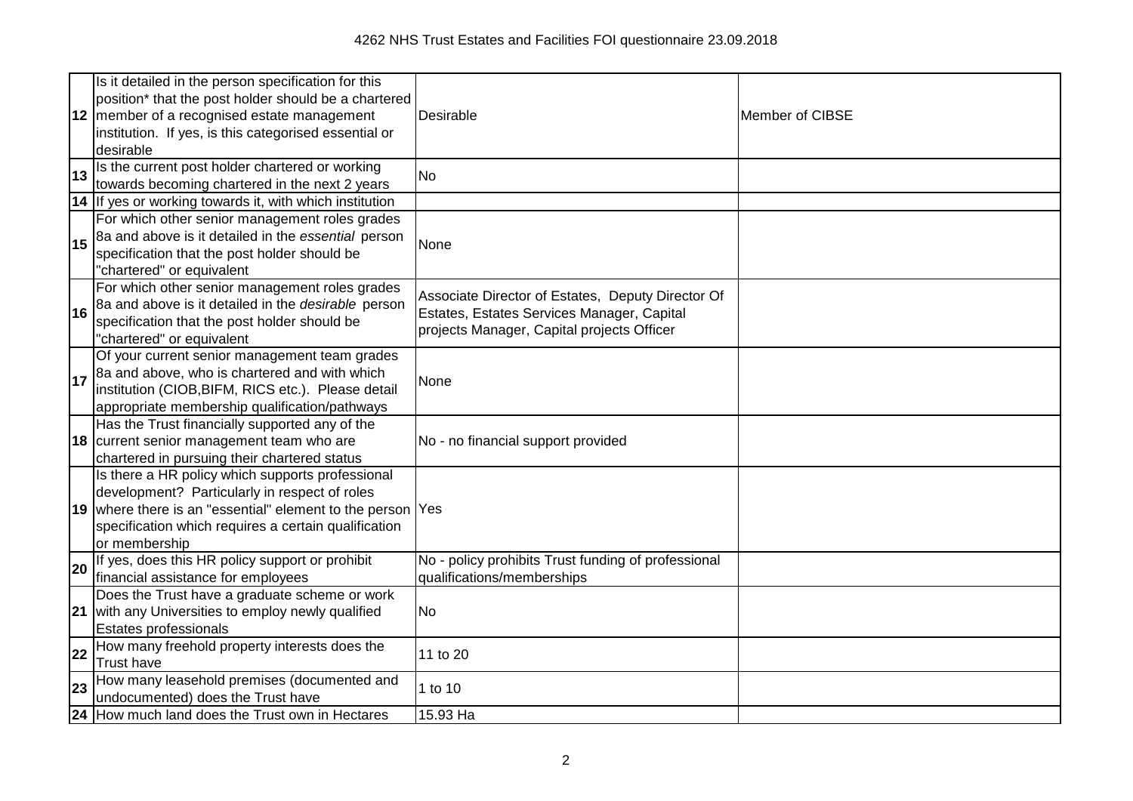|    | Is it detailed in the person specification for this<br>position* that the post holder should be a chartered<br>12 member of a recognised estate management<br>institution. If yes, is this categorised essential or<br>desirable         | Desirable                                                                                                                                     | Member of CIBSE |
|----|------------------------------------------------------------------------------------------------------------------------------------------------------------------------------------------------------------------------------------------|-----------------------------------------------------------------------------------------------------------------------------------------------|-----------------|
| 13 | Is the current post holder chartered or working                                                                                                                                                                                          | <b>No</b>                                                                                                                                     |                 |
|    | towards becoming chartered in the next 2 years                                                                                                                                                                                           |                                                                                                                                               |                 |
|    | 14 If yes or working towards it, with which institution                                                                                                                                                                                  |                                                                                                                                               |                 |
| 15 | For which other senior management roles grades<br>8a and above is it detailed in the essential person<br>specification that the post holder should be<br>"chartered" or equivalent                                                       | None                                                                                                                                          |                 |
| 16 | For which other senior management roles grades<br>8a and above is it detailed in the desirable person<br>specification that the post holder should be<br>"chartered" or equivalent                                                       | Associate Director of Estates, Deputy Director Of<br>Estates, Estates Services Manager, Capital<br>projects Manager, Capital projects Officer |                 |
| 17 | Of your current senior management team grades<br>8a and above, who is chartered and with which<br>institution (CIOB, BIFM, RICS etc.). Please detail<br>appropriate membership qualification/pathways                                    | None                                                                                                                                          |                 |
|    | Has the Trust financially supported any of the<br>18 current senior management team who are<br>chartered in pursuing their chartered status                                                                                              | No - no financial support provided                                                                                                            |                 |
|    | Is there a HR policy which supports professional<br>development? Particularly in respect of roles<br>19 where there is an "essential" element to the person Yes<br>specification which requires a certain qualification<br>or membership |                                                                                                                                               |                 |
| 20 | If yes, does this HR policy support or prohibit<br>financial assistance for employees                                                                                                                                                    | No - policy prohibits Trust funding of professional<br>qualifications/memberships                                                             |                 |
|    | Does the Trust have a graduate scheme or work<br>21 with any Universities to employ newly qualified<br><b>Estates professionals</b>                                                                                                      | <b>No</b>                                                                                                                                     |                 |
| 22 | How many freehold property interests does the<br><b>Trust have</b>                                                                                                                                                                       | 11 to 20                                                                                                                                      |                 |
| 23 | How many leasehold premises (documented and<br>undocumented) does the Trust have                                                                                                                                                         | 1 to 10                                                                                                                                       |                 |
|    | 24 How much land does the Trust own in Hectares                                                                                                                                                                                          | 15.93 Ha                                                                                                                                      |                 |